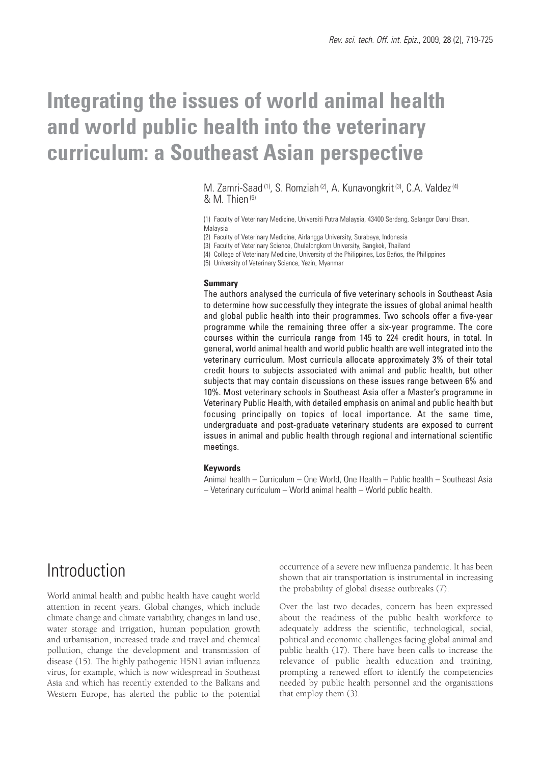# **Integrating the issues of world animal health and world public health into the veterinary curriculum: a Southeast Asian perspective**

M. Zamri-Saad <sup>(1)</sup>, S. Romziah <sup>(2)</sup>, A. Kunavongkrit <sup>(3)</sup>, C.A. Valdez<sup>(4)</sup> & M. Thien (5)

(1) Faculty of Veterinary Medicine, Universiti Putra Malaysia, 43400 Serdang, Selangor Darul Ehsan, Malaysia

(2) Faculty of Veterinary Medicine, Airlangga University, Surabaya, Indonesia

(3) Faculty of Veterinary Science, Chulalongkorn University, Bangkok, Thailand

(4) College of Veterinary Medicine, University of the Philippines, Los Baños, the Philippines

(5) University of Veterinary Science, Yezin, Myanmar

#### **Summary**

The authors analysed the curricula of five veterinary schools in Southeast Asia to determine how successfully they integrate the issues of global animal health and global public health into their programmes. Two schools offer a five-year programme while the remaining three offer a six-year programme. The core courses within the curricula range from 145 to 224 credit hours, in total. In general, world animal health and world public health are well integrated into the veterinary curriculum. Most curricula allocate approximately 3% of their total credit hours to subjects associated with animal and public health, but other subjects that may contain discussions on these issues range between 6% and 10%. Most veterinary schools in Southeast Asia offer a Master's programme in Veterinary Public Health, with detailed emphasis on animal and public health but focusing principally on topics of local importance. At the same time, undergraduate and post-graduate veterinary students are exposed to current issues in animal and public health through regional and international scientific meetings.

#### **Keywords**

Animal health – Curriculum – One World, One Health – Public health – Southeast Asia – Veterinary curriculum – World animal health – World public health.

### **Introduction**

World animal health and public health have caught world attention in recent years. Global changes, which include climate change and climate variability, changes in land use, water storage and irrigation, human population growth and urbanisation, increased trade and travel and chemical pollution, change the development and transmission of disease (15). The highly pathogenic H5N1 avian influenza virus, for example, which is now widespread in Southeast Asia and which has recently extended to the Balkans and Western Europe, has alerted the public to the potential

occurrence of a severe new influenza pandemic. It has been shown that air transportation is instrumental in increasing the probability of global disease outbreaks (7).

Over the last two decades, concern has been expressed about the readiness of the public health workforce to adequately address the scientific, technological, social, political and economic challenges facing global animal and public health (17). There have been calls to increase the relevance of public health education and training, prompting a renewed effort to identify the competencies needed by public health personnel and the organisations that employ them (3).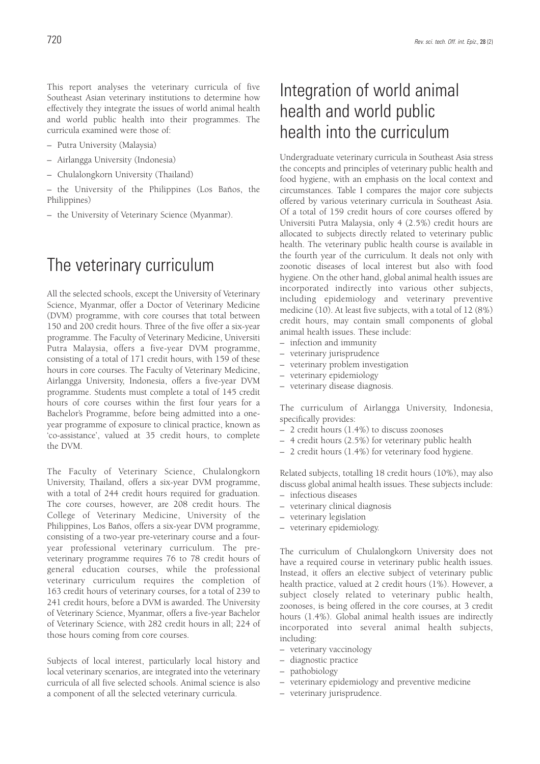This report analyses the veterinary curricula of five Southeast Asian veterinary institutions to determine how effectively they integrate the issues of world animal health and world public health into their programmes. The curricula examined were those of:

- Putra University (Malaysia)
- Airlangga University (Indonesia)
- Chulalongkorn University (Thailand)

– the University of the Philippines (Los Baños, the Philippines)

– the University of Veterinary Science (Myanmar).

### The veterinary curriculum

All the selected schools, except the University of Veterinary Science, Myanmar, offer a Doctor of Veterinary Medicine (DVM) programme, with core courses that total between 150 and 200 credit hours. Three of the five offer a six-year programme. The Faculty of Veterinary Medicine, Universiti Putra Malaysia, offers a five-year DVM programme, consisting of a total of 171 credit hours, with 159 of these hours in core courses. The Faculty of Veterinary Medicine, Airlangga University, Indonesia, offers a five-year DVM programme. Students must complete a total of 145 credit hours of core courses within the first four years for a Bachelor's Programme, before being admitted into a oneyear programme of exposure to clinical practice, known as 'co-assistance', valued at 35 credit hours, to complete the DVM.

The Faculty of Veterinary Science, Chulalongkorn University, Thailand, offers a six-year DVM programme, with a total of 244 credit hours required for graduation. The core courses, however, are 208 credit hours. The College of Veterinary Medicine, University of the Philippines, Los Baños, offers a six-year DVM programme, consisting of a two-year pre-veterinary course and a fouryear professional veterinary curriculum. The preveterinary programme requires 76 to 78 credit hours of general education courses, while the professional veterinary curriculum requires the completion of 163 credit hours of veterinary courses, for a total of 239 to 241 credit hours, before a DVM is awarded. The University of Veterinary Science, Myanmar, offers a five-year Bachelor of Veterinary Science, with 282 credit hours in all; 224 of those hours coming from core courses.

Subjects of local interest, particularly local history and local veterinary scenarios, are integrated into the veterinary curricula of all five selected schools. Animal science is also a component of all the selected veterinary curricula.

# Integration of world animal health and world public health into the curriculum

Undergraduate veterinary curricula in Southeast Asia stress the concepts and principles of veterinary public health and food hygiene, with an emphasis on the local context and circumstances. Table I compares the major core subjects offered by various veterinary curricula in Southeast Asia. Of a total of 159 credit hours of core courses offered by Universiti Putra Malaysia, only 4 (2.5%) credit hours are allocated to subjects directly related to veterinary public health. The veterinary public health course is available in the fourth year of the curriculum. It deals not only with zoonotic diseases of local interest but also with food hygiene. On the other hand, global animal health issues are incorporated indirectly into various other subjects, including epidemiology and veterinary preventive medicine (10). At least five subjects, with a total of 12 (8%) credit hours, may contain small components of global animal health issues. These include:

- infection and immunity
- veterinary jurisprudence
- veterinary problem investigation
- veterinary epidemiology
- veterinary disease diagnosis.

The curriculum of Airlangga University, Indonesia, specifically provides:

- 2 credit hours (1.4%) to discuss zoonoses
- 4 credit hours (2.5%) for veterinary public health
- 2 credit hours (1.4%) for veterinary food hygiene.

Related subjects, totalling 18 credit hours (10%), may also discuss global animal health issues. These subjects include:

- infectious diseases
- veterinary clinical diagnosis
- veterinary legislation
- veterinary epidemiology.

The curriculum of Chulalongkorn University does not have a required course in veterinary public health issues. Instead, it offers an elective subject of veterinary public health practice, valued at 2 credit hours (1%). However, a subject closely related to veterinary public health, zoonoses, is being offered in the core courses, at 3 credit hours (1.4%). Global animal health issues are indirectly incorporated into several animal health subjects, including:

- veterinary vaccinology
- diagnostic practice
- pathobiology
- veterinary epidemiology and preventive medicine
- veterinary jurisprudence.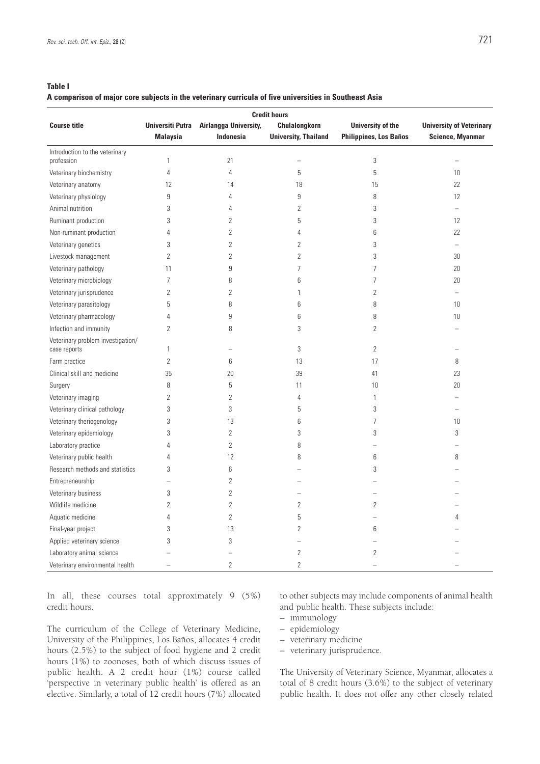#### **Table I**

### **A comparison of major core subjects in the veterinary curricula of five universities in Southeast Asia**

| <b>Credit hours</b>                               |                                            |                                           |                                              |                                                    |                                                            |
|---------------------------------------------------|--------------------------------------------|-------------------------------------------|----------------------------------------------|----------------------------------------------------|------------------------------------------------------------|
| <b>Course title</b>                               | <b>Universiti Putra</b><br><b>Malaysia</b> | Airlangga University,<br><b>Indonesia</b> | Chulalongkorn<br><b>University, Thailand</b> | University of the<br><b>Philippines, Los Baños</b> | <b>University of Veterinary</b><br><b>Science, Myanmar</b> |
| Introduction to the veterinary<br>profession      | $\mathbf{1}$                               | 21                                        |                                              | 3                                                  | L,                                                         |
| Veterinary biochemistry                           | $\overline{4}$                             | $\overline{4}$                            | 5                                            | 5                                                  | 10                                                         |
| Veterinary anatomy                                | 12                                         | 14                                        | 18                                           | 15                                                 | 22                                                         |
| Veterinary physiology                             | 9                                          | 4                                         | 9                                            | 8                                                  | 12                                                         |
| Animal nutrition                                  | 3                                          | 4                                         | $\overline{2}$                               | 3                                                  | L,                                                         |
| Ruminant production                               | 3                                          | $\overline{2}$                            | 5                                            | 3                                                  | 12                                                         |
| Non-ruminant production                           | 4                                          | $\sqrt{2}$                                | 4                                            | 6                                                  | 22                                                         |
| Veterinary genetics                               | 3                                          | $\sqrt{2}$                                | 2                                            | 3                                                  | L,                                                         |
| Livestock management                              | $\overline{2}$                             | $\overline{2}$                            | $\overline{2}$                               | 3                                                  | 30                                                         |
| Veterinary pathology                              | 11                                         | $\overline{9}$                            | $\overline{7}$                               | 7                                                  | 20                                                         |
| Veterinary microbiology                           | $\overline{7}$                             | 8                                         | 6                                            | $\overline{7}$                                     | 20                                                         |
| Veterinary jurisprudence                          | $\overline{2}$                             | $\overline{2}$                            | 1                                            | $\overline{2}$                                     | L,                                                         |
| Veterinary parasitology                           | 5                                          | 8                                         | 6                                            | 8                                                  | 10                                                         |
| Veterinary pharmacology                           | 4                                          | 9                                         | 6                                            | 8                                                  | 10                                                         |
| Infection and immunity                            | 2                                          | 8                                         | 3                                            | 2                                                  |                                                            |
| Veterinary problem investigation/<br>case reports | 1                                          | -                                         | 3                                            | $\overline{2}$                                     | -                                                          |
| Farm practice                                     | $\overline{2}$                             | 6                                         | 13                                           | 17                                                 | 8                                                          |
| Clinical skill and medicine                       | 35                                         | 20                                        | 39                                           | 41                                                 | 23                                                         |
| Surgery                                           | 8                                          | 5                                         | 11                                           | 10                                                 | 20                                                         |
| Veterinary imaging                                | $\overline{2}$                             | $\overline{2}$                            | 4                                            | $\mathbf{1}$                                       |                                                            |
| Veterinary clinical pathology                     | 3                                          | 3                                         | 5                                            | 3                                                  | L.                                                         |
| Veterinary theriogenology                         | 3                                          | 13                                        | 6                                            | 7                                                  | 10                                                         |
| Veterinary epidemiology                           | 3                                          | $\overline{2}$                            | 3                                            | 3                                                  | 3                                                          |
| Laboratory practice                               | 4                                          | $\overline{2}$                            | 8                                            | $\overline{\phantom{0}}$                           |                                                            |
| Veterinary public health                          | 4                                          | 12                                        | 8                                            | 6                                                  | 8                                                          |
| Research methods and statistics                   | 3                                          | 6                                         |                                              | 3                                                  |                                                            |
| Entrepreneurship                                  | $\equiv$                                   | $\overline{2}$                            |                                              |                                                    |                                                            |
| Veterinary business                               | 3                                          | $\sqrt{2}$                                | $\overline{\phantom{0}}$                     |                                                    |                                                            |
| Wildlife medicine                                 | $\overline{2}$                             | $\overline{2}$                            | $\overline{2}$                               | $\overline{2}$                                     |                                                            |
| Aquatic medicine                                  | 4                                          | $\overline{2}$                            | 5                                            |                                                    | 4                                                          |
| Final-year project                                | 3                                          | 13                                        | $\overline{2}$                               | 6                                                  |                                                            |
| Applied veterinary science                        | 3                                          | 3                                         | $\overline{\phantom{0}}$                     |                                                    |                                                            |
| Laboratory animal science                         |                                            |                                           | 2                                            | 2                                                  |                                                            |
| Veterinary environmental health                   | $\overline{\phantom{0}}$                   | $\overline{2}$                            | $\overline{2}$                               | ÷                                                  | $\overline{\phantom{0}}$                                   |

In all, these courses total approximately 9 (5%) credit hours.

The curriculum of the College of Veterinary Medicine, University of the Philippines, Los Baños, allocates 4 credit hours (2.5%) to the subject of food hygiene and 2 credit hours (1%) to zoonoses, both of which discuss issues of public health. A 2 credit hour (1%) course called 'perspective in veterinary public health' is offered as an elective. Similarly, a total of 12 credit hours (7%) allocated

to other subjects may include components of animal health and public health. These subjects include:

- immunology
- epidemiology
- veterinary medicine
- veterinary jurisprudence.

The University of Veterinary Science, Myanmar, allocates a total of 8 credit hours (3.6%) to the subject of veterinary public health. It does not offer any other closely related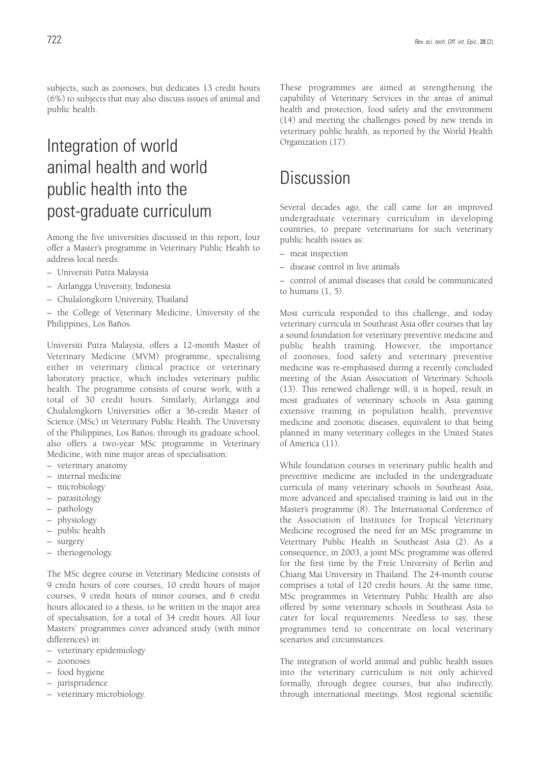subjects, such as zoonoses, but dedicates 13 credit hours (6%) to subjects that may also discuss issues of animal and public health.

# Integration of world animal health and world public health into the post-graduate curriculum

Among the five universities discussed in this report, four offer a Master's programme in Veterinary Public Health to address local needs:

- Universiti Putra Malaysia
- Airlangga University, Indonesia
- Chulalongkorn University, Thailand

– the College of Veterinary Medicine, University of the Philippines, Los Baños.

Universiti Putra Malaysia, offers a 12-month Master of Veterinary Medicine (MVM) programme, specialising either in veterinary clinical practice or veterinary laboratory practice, which includes veterinary public health. The programme consists of course work, with a total of 30 credit hours. Similarly, Airlangga and Chulalongkorn Universities offer a 36-credit Master of Science (MSc) in Veterinary Public Health. The University of the Philippines, Los Baños, through its graduate school, also offers a two-year MSc programme in Veterinary Medicine, with nine major areas of specialisation:

- veterinary anatomy
- internal medicine
- microbiology
- parasitology
- pathology
- physiology
- public health
- surgery
- theriogenology.

The MSc degree course in Veterinary Medicine consists of 9 credit hours of core courses, 10 credit hours of major courses, 9 credit hours of minor courses, and 6 credit hours allocated to a thesis, to be written in the major area of specialisation, for a total of 34 credit hours. All four Masters' programmes cover advanced study (with minor differences) in:

- veterinary epidemiology
- zoonoses
- food hygiene
- jurisprudence
- veterinary microbiology.

These programmes are aimed at strengthening the capability of Veterinary Services in the areas of animal health and protection, food safety and the environment (14) and meeting the challenges posed by new trends in veterinary public health, as reported by the World Health Organization (17).

### Discussion

Several decades ago, the call came for an improved undergraduate veterinary curriculum in developing countries, to prepare veterinarians for such veterinary public health issues as:

- meat inspection
- disease control in live animals
- control of animal diseases that could be communicated to humans  $(1, 5)$ .

Most curricula responded to this challenge, and today veterinary curricula in Southeast Asia offer courses that lay a sound foundation for veterinary preventive medicine and public health training. However, the importance of zoonoses, food safety and veterinary preventive medicine was re-emphasised during a recently concluded meeting of the Asian Association of Veterinary Schools (13). This renewed challenge will, it is hoped, result in most graduates of veterinary schools in Asia gaining extensive training in population health, preventive medicine and zoonotic diseases, equivalent to that being planned in many veterinary colleges in the United States of America (11).

While foundation courses in veterinary public health and preventive medicine are included in the undergraduate curricula of many veterinary schools in Southeast Asia, more advanced and specialised training is laid out in the Master's programme (8). The International Conference of the Association of Institutes for Tropical Veterinary Medicine recognised the need for an MSc programme in Veterinary Public Health in Southeast Asia (2). As a consequence, in 2003, a joint MSc programme was offered for the first time by the Freie University of Berlin and Chiang Mai University in Thailand. The 24-month course comprises a total of 120 credit hours. At the same time, MSc programmes in Veterinary Public Health are also offered by some veterinary schools in Southeast Asia to cater for local requirements. Needless to say, these programmes tend to concentrate on local veterinary scenarios and circumstances.

The integration of world animal and public health issues into the veterinary curriculum is not only achieved formally, through degree courses, but also indirectly, through international meetings. Most regional scientific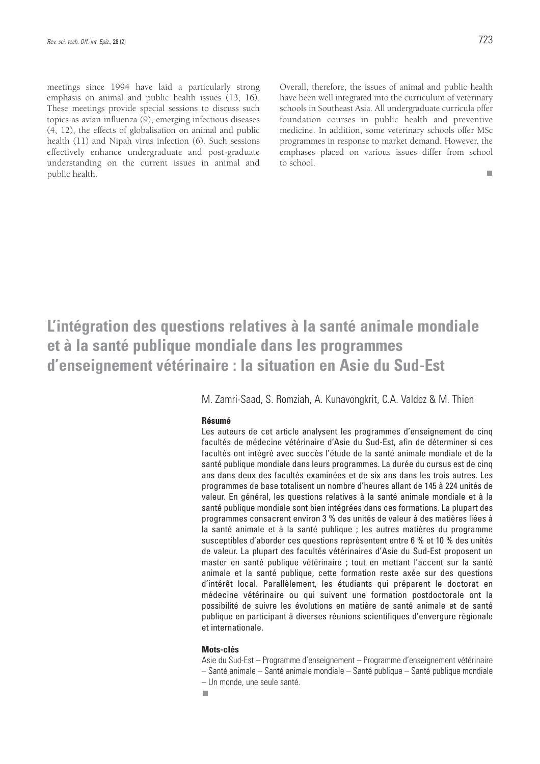meetings since 1994 have laid a particularly strong emphasis on animal and public health issues (13, 16). These meetings provide special sessions to discuss such topics as avian influenza (9), emerging infectious diseases (4, 12), the effects of globalisation on animal and public health (11) and Nipah virus infection (6). Such sessions effectively enhance undergraduate and post-graduate understanding on the current issues in animal and public health.

Overall, therefore, the issues of animal and public health have been well integrated into the curriculum of veterinary schools in Southeast Asia. All undergraduate curricula offer foundation courses in public health and preventive medicine. In addition, some veterinary schools offer MSc programmes in response to market demand. However, the emphases placed on various issues differ from school to school.

 $\Box$ 

# **L'intégration des questions relatives à la santé animale mondiale et à la santé publique mondiale dans les programmes d'enseignement vétérinaire : la situation en Asie du Sud-Est**

M. Zamri-Saad, S. Romziah, A. Kunavongkrit, C.A. Valdez & M. Thien

### **Résumé**

Les auteurs de cet article analysent les programmes d'enseignement de cinq facultés de médecine vétérinaire d'Asie du Sud-Est, afin de déterminer si ces facultés ont intégré avec succès l'étude de la santé animale mondiale et de la santé publique mondiale dans leurs programmes. La durée du cursus est de cinq ans dans deux des facultés examinées et de six ans dans les trois autres. Les programmes de base totalisent un nombre d'heures allant de 145 à 224 unités de valeur. En général, les questions relatives à la santé animale mondiale et à la santé publique mondiale sont bien intégrées dans ces formations. La plupart des programmes consacrent environ 3 % des unités de valeur à des matières liées à la santé animale et à la santé publique ; les autres matières du programme susceptibles d'aborder ces questions représentent entre 6 % et 10 % des unités de valeur. La plupart des facultés vétérinaires d'Asie du Sud-Est proposent un master en santé publique vétérinaire ; tout en mettant l'accent sur la santé animale et la santé publique, cette formation reste axée sur des questions d'intérêt local. Parallèlement, les étudiants qui préparent le doctorat en médecine vétérinaire ou qui suivent une formation postdoctorale ont la possibilité de suivre les évolutions en matière de santé animale et de santé publique en participant à diverses réunions scientifiques d'envergure régionale et internationale.

### **Mots-clés**

Asie du Sud-Est – Programme d'enseignement – Programme d'enseignement vétérinaire – Santé animale – Santé animale mondiale – Santé publique – Santé publique mondiale – Un monde, une seule santé.

m.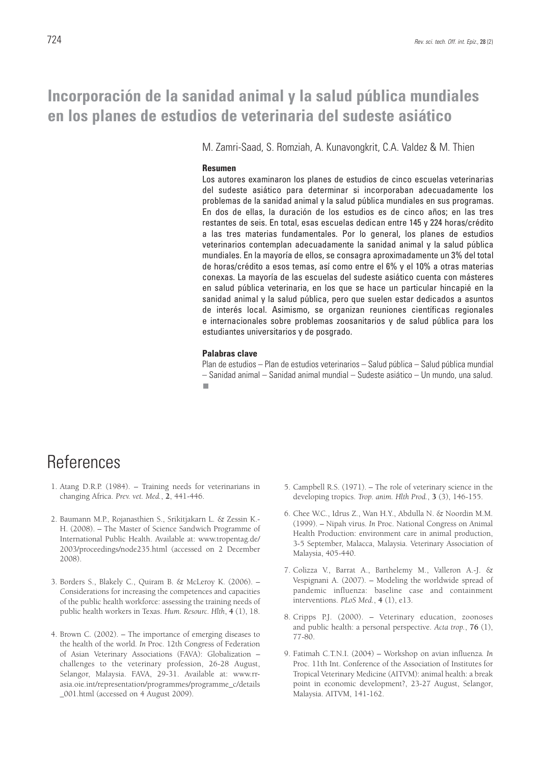### **Incorporación de la sanidad animal y la salud pública mundiales en los planes de estudios de veterinaria del sudeste asiático**

M. Zamri-Saad, S. Romziah, A. Kunavongkrit, C.A. Valdez & M. Thien

### **Resumen**

Los autores examinaron los planes de estudios de cinco escuelas veterinarias del sudeste asiático para determinar si incorporaban adecuadamente los problemas de la sanidad animal y la salud pública mundiales en sus programas. En dos de ellas, la duración de los estudios es de cinco años; en las tres restantes de seis. En total, esas escuelas dedican entre 145 y 224 horas/crédito a las tres materias fundamentales. Por lo general, los planes de estudios veterinarios contemplan adecuadamente la sanidad animal y la salud pública mundiales. En la mayoría de ellos, se consagra aproximadamente un 3% del total de horas/crédito a esos temas, así como entre el 6% y el 10% a otras materias conexas. La mayoría de las escuelas del sudeste asiático cuenta con másteres en salud pública veterinaria, en los que se hace un particular hincapié en la sanidad animal y la salud pública, pero que suelen estar dedicados a asuntos de interés local. Asimismo, se organizan reuniones científicas regionales e internacionales sobre problemas zoosanitarios y de salud pública para los estudiantes universitarios y de posgrado.

### **Palabras clave**

Plan de estudios – Plan de estudios veterinarios – Salud pública – Salud pública mundial – Sanidad animal – Sanidad animal mundial – Sudeste asiático – Un mundo, una salud.П

# **References**

- 1. Atang D.R.P. (1984). Training needs for veterinarians in changing Africa. *Prev. vet. Med.*, **2**, 441-446.
- 2. Baumann M.P., Rojanasthien S., Srikitjakarn L. & Zessin K.- H. (2008). – The Master of Science Sandwich Programme of International Public Health. Available at: www.tropentag.de/ 2003/proceedings/node235.html (accessed on 2 December 2008).
- 3. Borders S., Blakely C., Quiram B. & McLeroy K. (2006). Considerations for increasing the competences and capacities of the public health workforce: assessing the training needs of public health workers in Texas. *Hum. Resourc. Hlth*, **4** (1), 18.
- 4. Brown C. (2002). The importance of emerging diseases to the health of the world*. In* Proc. 12th Congress of Federation of Asian Veterinary Associations (FAVA): Globalization – challenges to the veterinary profession, 26-28 August, Selangor, Malaysia. FAVA, 29-31. Available at: www.rrasia.oie.int/representation/programmes/programme\_c/details \_001.html (accessed on 4 August 2009).
- 5. Campbell R.S. (1971). The role of veterinary science in the developing tropics. *Trop. anim. Hlth Prod.*, **3** (3), 146-155.
- 6. Chee W.C., Idrus Z., Wan H.Y., Abdulla N. & Noordin M.M. (1999). – Nipah virus. *In* Proc. National Congress on Animal Health Production: environment care in animal production, 3-5 September, Malacca, Malaysia. Veterinary Association of Malaysia, 405-440.
- 7. Colizza V., Barrat A., Barthelemy M., Valleron A.-J. & Vespignani A. (2007). – Modeling the worldwide spread of pandemic influenza: baseline case and containment interventions. *PLoS Med.*, **4** (1), e13.
- 8. Cripps P.J. (2000). Veterinary education, zoonoses and public health: a personal perspective. *Acta trop.*, **76** (1), 77-80.
- 9. Fatimah C.T.N.I. (2004) Workshop on avian influenza*. In* Proc. 11th Int. Conference of the Association of Institutes for Tropical Veterinary Medicine (AITVM): animal health: a break point in economic development?, 23-27 August, Selangor, Malaysia. AITVM, 141-162.